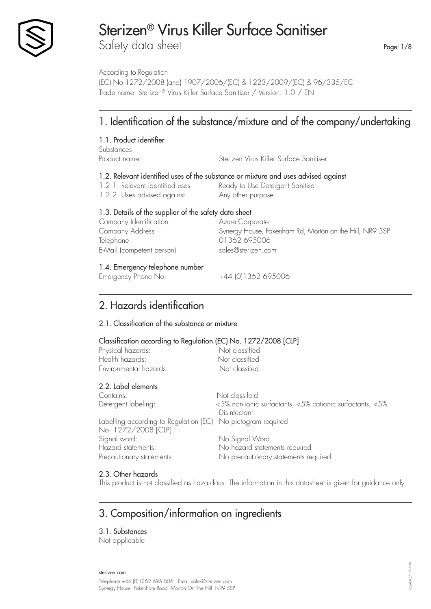

Safety data sheet Page: 1/8

According to Regulation (EC) No 1272/2008 (and) 1907/2006/(EC) & 1223/2009/(EC) & 96/335/EC Trade name: Sterizen® Virus Killer Surface Sanitiser / Version: 1.0 / EN

# 1. Identification of the substance/mixture and of the company/undertaking

### 1.1. Product identifier

Substances Product name Sterizen Virus Killer Surface Sanitiser

### 1.2. Relevant identified uses of the substance or mixture and uses advised against

1.2.2. Uses advised against Any other purpose.

1.2.1. Relevant identified uses Ready to Use Detergent Sanitiser

### 1.3. Details of the supplier of the safety data sheet

| Company Identification    | Azure Corporate                                         |
|---------------------------|---------------------------------------------------------|
| Company Address           | Synergy House, Fakenham Rd, Morton on the Hill, NR9 5SP |
| Telephone                 | 01362 695006                                            |
| E-Mail (competent person) | sales@sterizen.com                                      |
| .                         |                                                         |

### 1.4. Emergency telephone number

Emergency Phone No.  $+44$  (0)1362 695006

## 2. Hazards identification

### 2.1. Classification of the substance or mixture

### Classification according to Regulation (EC) No. 1272/2008 [CLP]

| Classification according to Regulation (EC) TVO. TZ7 Z/ Z000 [CLF] |                                                                          |
|--------------------------------------------------------------------|--------------------------------------------------------------------------|
| Physical hazards:                                                  | Not classified                                                           |
| Health hazards:                                                    | Not classified                                                           |
| Environmental hazards:                                             | Not classifed                                                            |
| 2.2. Label elements                                                |                                                                          |
| Contains:                                                          | Not classifeid                                                           |
| Detergent labeling:                                                | <5% non-ionic surfactants, <5% cationic surfactants, <5%<br>Disinfectant |
| Labelling according to Regulation (EC) No pictogram required       |                                                                          |
| No. 1272/2008 [CLP]                                                |                                                                          |
| Signal word:                                                       | No Signal Word                                                           |
| Hazard statements:                                                 | No hazard statements required                                            |
| Precautionary statements:                                          | No precautionary statements required                                     |

### 2.3. Other hazards

This product is not classified as hazardous. The information in this datasheet is given for guidance only.

## 3. Composition/information on ingredients

3.1. Substances

Not applicable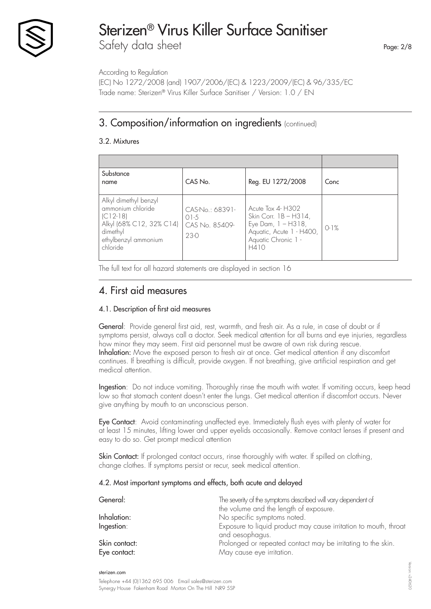

# Sterizen® Virus Killer Surface Sanitiser Safety data sheet

According to Regulation

(EC) No 1272/2008 (and) 1907/2006/(EC) & 1223/2009/(EC) & 96/335/EC Trade name: Sterizen® Virus Killer Surface Sanitiser / Version: 1.0 / EN

## 3. Composition/information on ingredients (continued)

### 3.2. Mixtures

| Substance<br>name                                                                                                                    | CAS No.                                               | Reg. EU 1272/2008                                                                                                              | Conc   |
|--------------------------------------------------------------------------------------------------------------------------------------|-------------------------------------------------------|--------------------------------------------------------------------------------------------------------------------------------|--------|
| Alkyl dimethyl benzyl<br>ammonium chloride<br>$ C12-18 $<br>Alkyl (68% C12, 32% C14)<br>dimethyl<br>ethylbenzyl ammonium<br>chloride | CAS-No.: 68391-<br>$01-5$<br>CAS No. 85409-<br>$23-0$ | Acute Tox 4- H302<br>Skin Corr. 1B - H314,<br>Eye Dam, $1 - H318$ ,<br>Aquatic, Acute 1 - H400,<br>Aquatic Chronic 1 -<br>H410 | $0-1%$ |

The full text for all hazard statements are displayed in section 16

### 4. First aid measures

### 4.1. Description of first aid measures

General: Provide general first aid, rest, warmth, and fresh air. As a rule, in case of doubt or if symptoms persist, always call a doctor. Seek medical attention for all burns and eye injuries, regardless how minor they may seem. First aid personnel must be aware of own risk during rescue. Inhalation: Move the exposed person to fresh air at once. Get medical attention if any discomfort continues. If breathing is difficult, provide oxygen. If not breathing, give artificial respiration and get medical attention.

Ingestion: Do not induce vomiting. Thoroughly rinse the mouth with water. If vomiting occurs, keep head low so that stomach content doesn't enter the lungs. Get medical attention if discomfort occurs. Never give anything by mouth to an unconscious person.

Eye Contact: Avoid contaminating unaffected eye. Immediately flush eyes with plenty of water for at least 15 minutes, lifting lower and upper eyelids occasionally. Remove contact lenses if present and easy to do so. Get prompt medical attention

Skin Contact: If prolonged contact occurs, rinse thoroughly with water. If spilled on clothing, change clothes. If symptoms persist or recur, seek medical attention.

### 4.2. Most important symptoms and effects, both acute and delayed

| General:                      | The severity of the symptoms described will vary dependent of<br>the volume and the length of exposure.      |
|-------------------------------|--------------------------------------------------------------------------------------------------------------|
| Inhalation:<br>Ingestion:     | No specific symptoms noted.<br>Exposure to liquid product may cause irritation to mouth, throat              |
| Skin contact:<br>Eye contact: | and oesophagus.<br>Prolonged or repeated contact may be irritating to the skin.<br>May cause eye irritation. |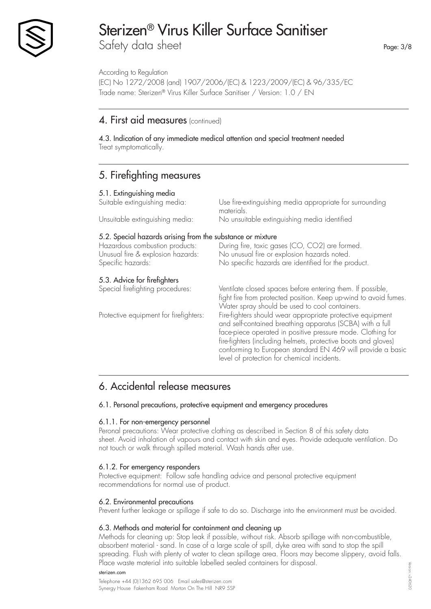

Safety data sheet

According to Regulation (EC) No 1272/2008 (and) 1907/2006/(EC) & 1223/2009/(EC) & 96/335/EC Trade name: Sterizen® Virus Killer Surface Sanitiser / Version: 1.0 / EN

### 4. First aid measures (continued)

4.3. Indication of any immediate medical attention and special treatment needed Treat symptomatically.

## 5. Firefighting measures

| 5.1. Extinguishing media<br>Suitable extinguishing media:                                                                                              | Use fire-extinguishing media appropriate for surrounding<br>materials.                                                                                                                                                                                                                                                                                                 |
|--------------------------------------------------------------------------------------------------------------------------------------------------------|------------------------------------------------------------------------------------------------------------------------------------------------------------------------------------------------------------------------------------------------------------------------------------------------------------------------------------------------------------------------|
| Unsuitable extinguishing media:                                                                                                                        | No unsuitable extinguishing media identified                                                                                                                                                                                                                                                                                                                           |
| 5.2. Special hazards arising from the substance or mixture<br>Hazardous combustion products:<br>Unusual fire & explosion hazards:<br>Specific hazards: | During fire, toxic gases (CO, CO2) are formed.<br>No unusual fire or explosion hazards noted.<br>No specific hazards are identified for the product.                                                                                                                                                                                                                   |
| 5.3. Advice for firefighters<br>Special firefighting procedures:                                                                                       | Ventilate closed spaces before entering them. If possible,<br>fight fire from protected position. Keep up-wind to avoid fumes.<br>Water spray should be used to cool containers.                                                                                                                                                                                       |
| Protective equipment for firefighters:                                                                                                                 | Fire-fighters should wear appropriate protective equipment<br>and self-contained breathing apparatus (SCBA) with a full<br>face-piece operated in positive pressure mode. Clothing for<br>fire-fighters (including helmets, protective boots and gloves)<br>conforming to European standard EN 469 will provide a basic<br>level of protection for chemical incidents. |
|                                                                                                                                                        |                                                                                                                                                                                                                                                                                                                                                                        |

## 6. Accidental release measures

### 6.1. Personal precautions, protective equipment and emergency procedures

### 6.1.1. For non-emergency personnel

Peronal precautions: Wear protective clothing as described in Section 8 of this safety data sheet. Avoid inhalation of vapours and contact with skin and eyes. Provide adequate ventilation. Do not touch or walk through spilled material. Wash hands after use.

### 6.1.2. For emergency responders

Protective equipment: Follow safe handling advice and personal protective equipment recommendations for normal use of product.

### 6.2. Environmental precautions

Prevent further leakage or spillage if safe to do so. Discharge into the environment must be avoided.

### 6.3. Methods and material for containment and cleaning up

Methods for cleaning up: Stop leak if possible, without risk. Absorb spillage with non-combustible, absorbent material - sand. In case of a large scale of spill, dyke area with sand to stop the spill spreading. Flush with plenty of water to clean spillage area. Floors may become slippery, avoid falls. Place waste material into suitable labelled sealed containers for disposal.

sterizen.com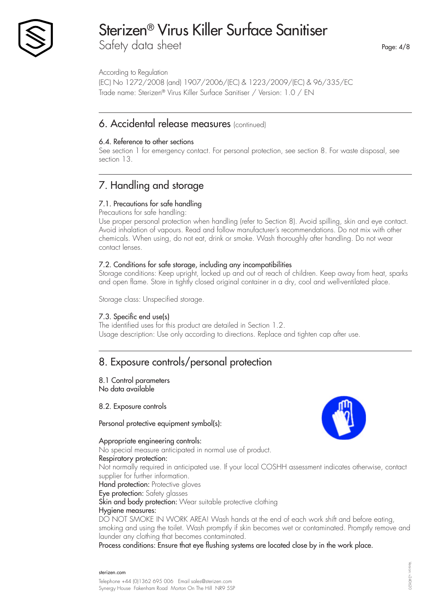

Safety data sheet

According to Regulation

(EC) No 1272/2008 (and) 1907/2006/(EC) & 1223/2009/(EC) & 96/335/EC Trade name: Sterizen® Virus Killer Surface Sanitiser / Version: 1.0 / EN

### 6. Accidental release measures (continued)

### 6.4. Reference to other sections

See section 1 for emergency contact. For personal protection, see section 8. For waste disposal, see section 13.

# 7. Handling and storage

### 7.1. Precautions for safe handling

Precautions for safe handling:

Use proper personal protection when handling (refer to Section 8). Avoid spilling, skin and eye contact. Avoid inhalation of vapours. Read and follow manufacturer's recommendations. Do not mix with other chemicals. When using, do not eat, drink or smoke. Wash thoroughly after handling. Do not wear contact lenses.

### 7.2. Conditions for safe storage, including any incompatibilities

Storage conditions: Keep upright, locked up and out of reach of children. Keep away from heat, sparks and open flame. Store in tightly closed original container in a dry, cool and well-ventilated place.

Storage class: Unspecified storage.

### 7.3. Specific end use(s)

The identified uses for this product are detailed in Section 1.2. Usage description: Use only according to directions. Replace and tighten cap after use.

## 8. Exposure controls/personal protection

#### 8.1 Control parameters No data available

8.2. Exposure controls

Personal protective equipment symbol(s):

### Appropriate engineering controls:

No special measure anticipated in normal use of product.

### Respiratory protection:

Not normally required in anticipated use. If your local COSHH assessment indicates otherwise, contact supplier for further information.

Hand protection: Protective gloves

Eye protection: Safety glasses

Skin and body protection: Wear suitable protective clothing

### Hygiene measures:

DO NOT SMOKE IN WORK AREA! Wash hands at the end of each work shift and before eating, smoking and using the toilet. Wash promptly if skin becomes wet or contaminated. Promptly remove and launder any clothing that becomes contaminated.

Process conditions: Ensure that eye flushing systems are located close by in the work place.

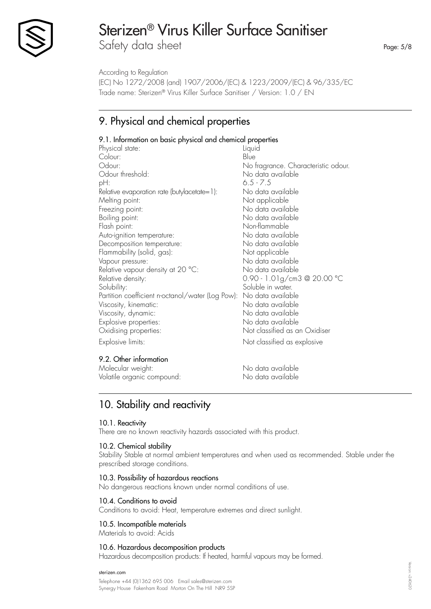

Safety data sheet

According to Regulation

Page: 5/8

(EC) No 1272/2008 (and) 1907/2006/(EC) & 1223/2009/(EC) & 96/335/EC Trade name: Sterizen® Virus Killer Surface Sanitiser / Version: 1.0 / EN

# 9. Physical and chemical properties

### 9.1. Information on basic physical and chemical properties

| Physical state:                                  | Liquid                              |
|--------------------------------------------------|-------------------------------------|
| Colour:                                          | Blue                                |
| Odour:                                           | No fragrance. Characteristic odour. |
| Odour threshold:                                 | No data available                   |
| pH:                                              | $6.5 - 7.5$                         |
| $Relative evaporation rate (butylacetate=1):$    | No data available                   |
| Melting point:                                   | Not applicable                      |
| Freezing point:                                  | No data available                   |
| Boiling point:                                   | No data available                   |
| Flash point:                                     | Non-flammable                       |
| Auto-ignition temperature:                       | No data available                   |
| Decomposition temperature:                       | No data available                   |
| Flammability (solid, gas):                       | Not applicable                      |
| Vapour pressure:                                 | No data available                   |
| Relative vapour density at 20 °C:                | No data available                   |
| Relative density:                                | 0.90 - 1.01g/cm3 @ 20.00 °C         |
| Solubility:                                      | Soluble in water.                   |
| Partition coefficient n-octanol/water (Log Pow): | No data available                   |
| Viscosity, kinematic:                            | No data available                   |
| Viscosity, dynamic:                              | No data available                   |
| Explosive properties:                            | No data available                   |
| Oxidising properties:                            | Not classified as an Oxidiser       |
| Explosive limits:                                | Not classified as explosive         |
| 9.2. Other information                           |                                     |

Molecular weight: No data available Volatile organic compound: No data available

# 10. Stability and reactivity

### 10.1. Reactivity

There are no known reactivity hazards associated with this product.

### 10.2. Chemical stability

Stability Stable at normal ambient temperatures and when used as recommended. Stable under the prescribed storage conditions.

### 10.3. Possibility of hazardous reactions

No dangerous reactions known under normal conditions of use.

### 10.4. Conditions to avoid

Conditions to avoid: Heat, temperature extremes and direct sunlight.

### 10.5. Incompatible materials

Materials to avoid: Acids

### 10.6. Hazardous decomposition products

Hazardous decomposition products: If heated, harmful vapours may be formed.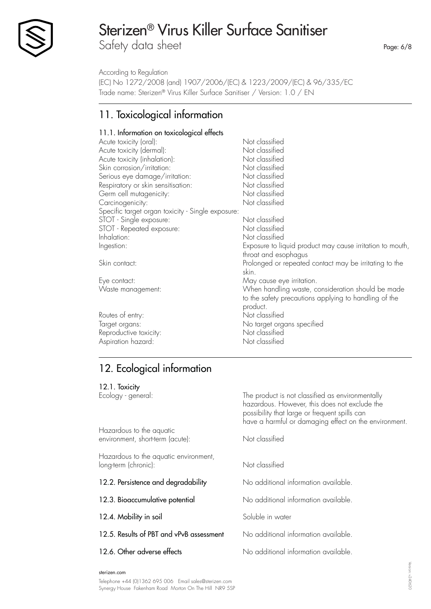

Safety data sheet

According to Regulation

(EC) No 1272/2008 (and) 1907/2006/(EC) & 1223/2009/(EC) & 96/335/EC Trade name: Sterizen® Virus Killer Surface Sanitiser / Version: 1.0 / EN

# 11. Toxicological information

### 11.1. Information on toxicological effects

| Acute toxicity (oral):                            | Not classified                                            |
|---------------------------------------------------|-----------------------------------------------------------|
| Acute toxicity (dermal):                          | Not classified                                            |
| Acute toxicity (inhalation):                      | Not classified                                            |
| Skin corrosion/irritation:                        | Not classified                                            |
| Serious eye damage/irritation:                    | Not classified                                            |
| Respiratory or skin sensitisation:                | Not classified                                            |
| Germ cell mutagenicity:                           | Not classified                                            |
| Carcinogenicity:                                  | Not classified                                            |
| Specific target organ toxicity - Single exposure: |                                                           |
| STOT - Single exposure:                           | Not classified                                            |
| STOT - Repeated exposure:                         | Not classified                                            |
| Inhalation:                                       | Not classified                                            |
| Ingestion:                                        | Exposure to liquid product may cause irritation to mouth, |
|                                                   | throat and esophagus                                      |
| Skin contact:                                     | Prolonged or repeated contact may be irritating to the    |
|                                                   | skin.                                                     |
| Eye contact:                                      | May cause eye irritation.                                 |
| Waste management:                                 | When handling waste, consideration should be made         |
|                                                   | to the safety precautions applying to handling of the     |
|                                                   | product.                                                  |
| Routes of entry:                                  | Not classified                                            |
| Target organs:                                    | No target organs specified                                |
| Reproductive toxicity:                            | Not classified                                            |
| Aspiration hazard:                                | Not classified                                            |
|                                                   |                                                           |

# 12. Ecological information

| 12.1. Toxicity                                                |                                                                                                                                                                                                             |
|---------------------------------------------------------------|-------------------------------------------------------------------------------------------------------------------------------------------------------------------------------------------------------------|
| Ecology - general:                                            | The product is not classified as environmentally<br>hazardous. However, this does not exclude the<br>possibility that large or frequent spills can<br>have a harmful or damaging effect on the environment. |
| Hazardous to the aquatic<br>environment, short-term (acute):  | Not classified                                                                                                                                                                                              |
| Hazardous to the aquatic environment,<br>long-term (chronic): | Not classified                                                                                                                                                                                              |
| 12.2. Persistence and degradability                           | No additional information available.                                                                                                                                                                        |
| 12.3. Bioaccumulative potential                               | No additional information available.                                                                                                                                                                        |
| 12.4. Mobility in soil                                        | Soluble in water                                                                                                                                                                                            |
| 12.5. Results of PBT and vPvB assessment                      | No additional information available.                                                                                                                                                                        |
| 12.6. Other adverse effects                                   | No additional information available.                                                                                                                                                                        |

### sterizen.com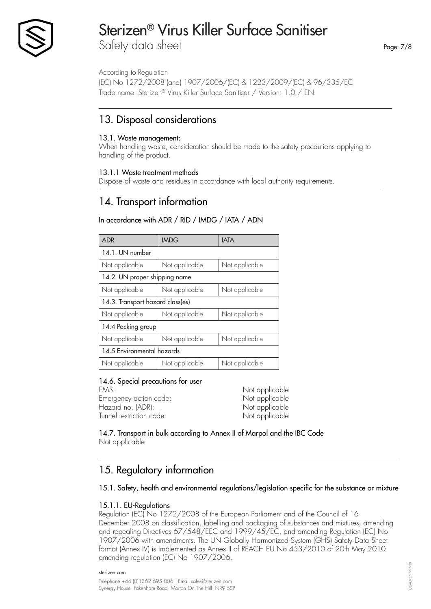

Safety data sheet

According to Regulation

(EC) No 1272/2008 (and) 1907/2006/(EC) & 1223/2009/(EC) & 96/335/EC Trade name: Sterizen® Virus Killer Surface Sanitiser / Version: 1.0 / EN

## 13. Disposal considerations

### 13.1. Waste management:

When handling waste, consideration should be made to the safety precautions applying to handling of the product.

### 13.1.1 Waste treatment methods

Dispose of waste and residues in accordance with local authority requirements.

### 14. Transport information

### In accordance with ADR / RID / IMDG / IATA / ADN

| <b>ADR</b>                       | <b>IMDG</b>    | <b>IATA</b>    |  |
|----------------------------------|----------------|----------------|--|
| 14.1. UN number                  |                |                |  |
| Not applicable                   | Not applicable | Not applicable |  |
| 14.2. UN proper shipping name    |                |                |  |
| Not applicable                   | Not applicable | Not applicable |  |
| 14.3. Transport hazard class(es) |                |                |  |
| Not applicable                   | Not applicable | Not applicable |  |
| 14.4 Packing group               |                |                |  |
| Not applicable                   | Not applicable | Not applicable |  |
| 14.5 Environmental hazards       |                |                |  |
| Not applicable                   | Not applicable | Not applicable |  |

### 14.6. Special precautions for user

EMS: EMS: Emergency action code: Not applicable Hazard no. (ADR): Not applicable Tunnel restriction code: Not applicable

14.7. Transport in bulk according to Annex II of Marpol and the IBC Code Not applicable

## 15. Regulatory information

### 15.1. Safety, health and environmental regulations/legislation specific for the substance or mixture

### 15.1.1. EU-Regulations

Regulation (EC) No 1272/2008 of the European Parliament and of the Council of 16 December 2008 on classification, labelling and packaging of substances and mixtures, amending and repealing Directives 67/548/EEC and 1999/45/EC, and amending Regulation (EC) No 1907/2006 with amendments. The UN Globally Harmonized System (GHS) Safety Data Sheet format (Annex IV) is implemented as Annex II of REACH EU No 453/2010 of 20th May 2010 amending regulation (EC) No 1907/2006.